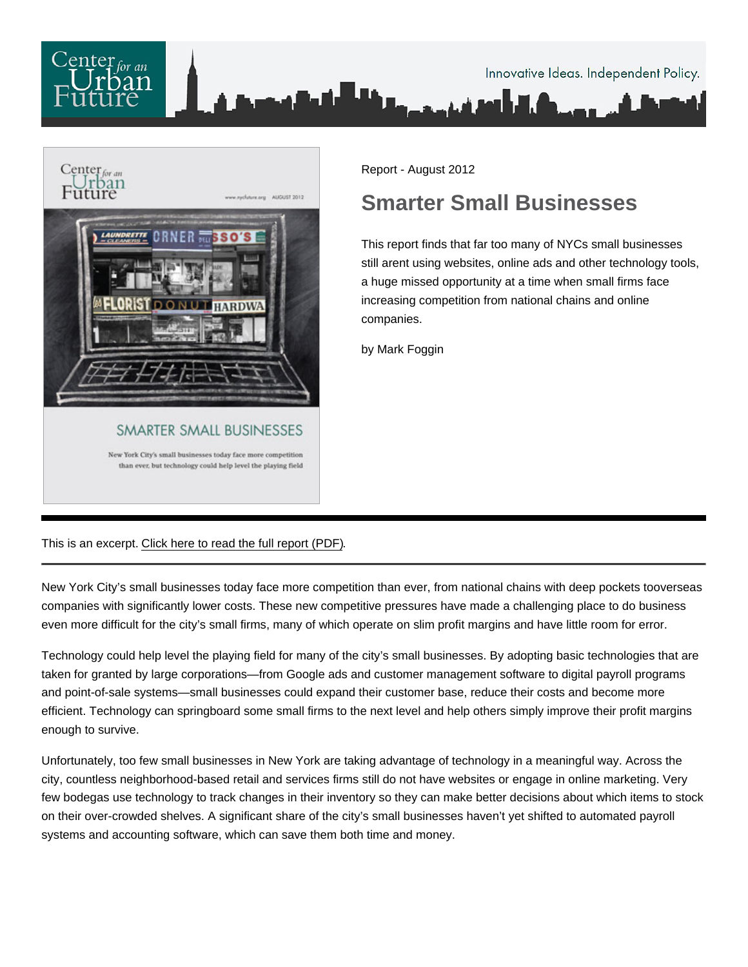

Report - August 2012

## Smarter Small Businesses

This report finds that far too many of NYCs small businesses still arent using websites, online ads and other technology tools, a huge missed opportunity at a time when small firms face increasing competition from national chains and online companies.

by Mark Foggin

This is an excerpt. [Click here to read the full report \(PDF\).](/pdf/Smarter_Small_Businesses.pdf)

New York City's small businesses today face more competition than ever, from national chains with deep pockets tooverseas companies with significantly lower costs. These new competitive pressures have made a challenging place to do business even more difficult for the city's small firms, many of which operate on slim profit margins and have little room for error.

Technology could help level the playing field for many of the city's small businesses. By adopting basic technologies that are taken for granted by large corporations—from Google ads and customer management software to digital payroll programs and point-of-sale systems—small businesses could expand their customer base, reduce their costs and become more efficient. Technology can springboard some small firms to the next level and help others simply improve their profit margins enough to survive.

Unfortunately, too few small businesses in New York are taking advantage of technology in a meaningful way. Across the city, countless neighborhood-based retail and services firms still do not have websites or engage in online marketing. Very few bodegas use technology to track changes in their inventory so they can make better decisions about which items to stock on their over-crowded shelves. A significant share of the city's small businesses haven't yet shifted to automated payroll systems and accounting software, which can save them both time and money.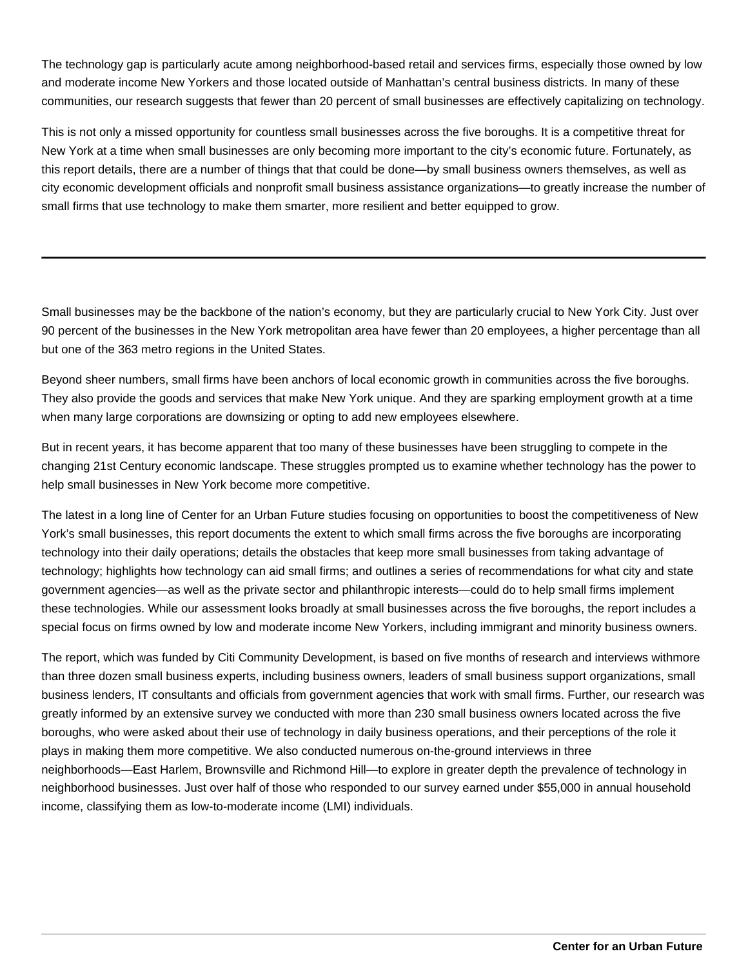The technology gap is particularly acute among neighborhood-based retail and services firms, especially those owned by low and moderate income New Yorkers and those located outside of Manhattan's central business districts. In many of these communities, our research suggests that fewer than 20 percent of small businesses are effectively capitalizing on technology.

This is not only a missed opportunity for countless small businesses across the five boroughs. It is a competitive threat for New York at a time when small businesses are only becoming more important to the city's economic future. Fortunately, as this report details, there are a number of things that that could be done—by small business owners themselves, as well as city economic development officials and nonprofit small business assistance organizations—to greatly increase the number of small firms that use technology to make them smarter, more resilient and better equipped to grow.

Small businesses may be the backbone of the nation's economy, but they are particularly crucial to New York City. Just over 90 percent of the businesses in the New York metropolitan area have fewer than 20 employees, a higher percentage than all but one of the 363 metro regions in the United States.

Beyond sheer numbers, small firms have been anchors of local economic growth in communities across the five boroughs. They also provide the goods and services that make New York unique. And they are sparking employment growth at a time when many large corporations are downsizing or opting to add new employees elsewhere.

But in recent years, it has become apparent that too many of these businesses have been struggling to compete in the changing 21st Century economic landscape. These struggles prompted us to examine whether technology has the power to help small businesses in New York become more competitive.

The latest in a long line of Center for an Urban Future studies focusing on opportunities to boost the competitiveness of New York's small businesses, this report documents the extent to which small firms across the five boroughs are incorporating technology into their daily operations; details the obstacles that keep more small businesses from taking advantage of technology; highlights how technology can aid small firms; and outlines a series of recommendations for what city and state government agencies—as well as the private sector and philanthropic interests—could do to help small firms implement these technologies. While our assessment looks broadly at small businesses across the five boroughs, the report includes a special focus on firms owned by low and moderate income New Yorkers, including immigrant and minority business owners.

The report, which was funded by Citi Community Development, is based on five months of research and interviews withmore than three dozen small business experts, including business owners, leaders of small business support organizations, small business lenders, IT consultants and officials from government agencies that work with small firms. Further, our research was greatly informed by an extensive survey we conducted with more than 230 small business owners located across the five boroughs, who were asked about their use of technology in daily business operations, and their perceptions of the role it plays in making them more competitive. We also conducted numerous on-the-ground interviews in three neighborhoods—East Harlem, Brownsville and Richmond Hill—to explore in greater depth the prevalence of technology in neighborhood businesses. Just over half of those who responded to our survey earned under \$55,000 in annual household income, classifying them as low-to-moderate income (LMI) individuals.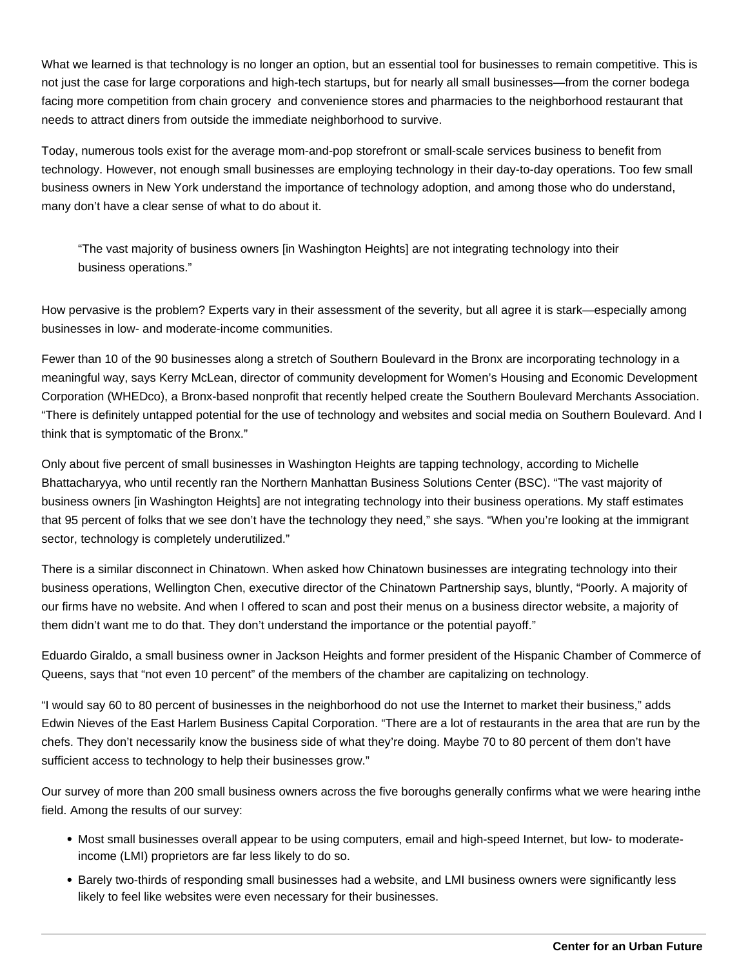What we learned is that technology is no longer an option, but an essential tool for businesses to remain competitive. This is not just the case for large corporations and high-tech startups, but for nearly all small businesses—from the corner bodega facing more competition from chain grocery and convenience stores and pharmacies to the neighborhood restaurant that needs to attract diners from outside the immediate neighborhood to survive.

Today, numerous tools exist for the average mom-and-pop storefront or small-scale services business to benefit from technology. However, not enough small businesses are employing technology in their day-to-day operations. Too few small business owners in New York understand the importance of technology adoption, and among those who do understand, many don't have a clear sense of what to do about it.

"The vast majority of business owners [in Washington Heights] are not integrating technology into their business operations."

How pervasive is the problem? Experts vary in their assessment of the severity, but all agree it is stark—especially among businesses in low- and moderate-income communities.

Fewer than 10 of the 90 businesses along a stretch of Southern Boulevard in the Bronx are incorporating technology in a meaningful way, says Kerry McLean, director of community development for Women's Housing and Economic Development Corporation (WHEDco), a Bronx-based nonprofit that recently helped create the Southern Boulevard Merchants Association. "There is definitely untapped potential for the use of technology and websites and social media on Southern Boulevard. And I think that is symptomatic of the Bronx."

Only about five percent of small businesses in Washington Heights are tapping technology, according to Michelle Bhattacharyya, who until recently ran the Northern Manhattan Business Solutions Center (BSC). "The vast majority of business owners [in Washington Heights] are not integrating technology into their business operations. My staff estimates that 95 percent of folks that we see don't have the technology they need," she says. "When you're looking at the immigrant sector, technology is completely underutilized."

There is a similar disconnect in Chinatown. When asked how Chinatown businesses are integrating technology into their business operations, Wellington Chen, executive director of the Chinatown Partnership says, bluntly, "Poorly. A majority of our firms have no website. And when I offered to scan and post their menus on a business director website, a majority of them didn't want me to do that. They don't understand the importance or the potential payoff."

Eduardo Giraldo, a small business owner in Jackson Heights and former president of the Hispanic Chamber of Commerce of Queens, says that "not even 10 percent" of the members of the chamber are capitalizing on technology.

"I would say 60 to 80 percent of businesses in the neighborhood do not use the Internet to market their business," adds Edwin Nieves of the East Harlem Business Capital Corporation. "There are a lot of restaurants in the area that are run by the chefs. They don't necessarily know the business side of what they're doing. Maybe 70 to 80 percent of them don't have sufficient access to technology to help their businesses grow."

Our survey of more than 200 small business owners across the five boroughs generally confirms what we were hearing inthe field. Among the results of our survey:

- Most small businesses overall appear to be using computers, email and high-speed Internet, but low- to moderateincome (LMI) proprietors are far less likely to do so.
- Barely two-thirds of responding small businesses had a website, and LMI business owners were significantly less likely to feel like websites were even necessary for their businesses.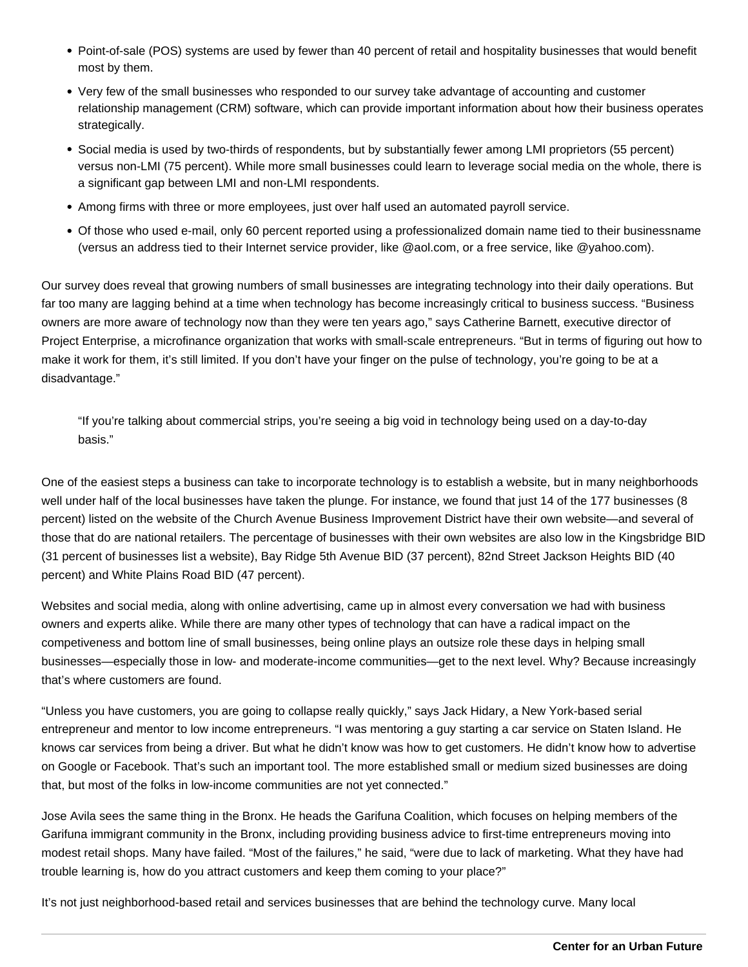- Point-of-sale (POS) systems are used by fewer than 40 percent of retail and hospitality businesses that would benefit most by them.
- Very few of the small businesses who responded to our survey take advantage of accounting and customer relationship management (CRM) software, which can provide important information about how their business operates strategically.
- Social media is used by two-thirds of respondents, but by substantially fewer among LMI proprietors (55 percent) versus non-LMI (75 percent). While more small businesses could learn to leverage social media on the whole, there is a significant gap between LMI and non-LMI respondents.
- Among firms with three or more employees, just over half used an automated payroll service.
- Of those who used e-mail, only 60 percent reported using a professionalized domain name tied to their businessname (versus an address tied to their Internet service provider, like @aol.com, or a free service, like @yahoo.com).

Our survey does reveal that growing numbers of small businesses are integrating technology into their daily operations. But far too many are lagging behind at a time when technology has become increasingly critical to business success. "Business owners are more aware of technology now than they were ten years ago," says Catherine Barnett, executive director of Project Enterprise, a microfinance organization that works with small-scale entrepreneurs. "But in terms of figuring out how to make it work for them, it's still limited. If you don't have your finger on the pulse of technology, you're going to be at a disadvantage."

"If you're talking about commercial strips, you're seeing a big void in technology being used on a day-to-day basis."

One of the easiest steps a business can take to incorporate technology is to establish a website, but in many neighborhoods well under half of the local businesses have taken the plunge. For instance, we found that just 14 of the 177 businesses (8 percent) listed on the website of the Church Avenue Business Improvement District have their own website—and several of those that do are national retailers. The percentage of businesses with their own websites are also low in the Kingsbridge BID (31 percent of businesses list a website), Bay Ridge 5th Avenue BID (37 percent), 82nd Street Jackson Heights BID (40 percent) and White Plains Road BID (47 percent).

Websites and social media, along with online advertising, came up in almost every conversation we had with business owners and experts alike. While there are many other types of technology that can have a radical impact on the competiveness and bottom line of small businesses, being online plays an outsize role these days in helping small businesses—especially those in low- and moderate-income communities—get to the next level. Why? Because increasingly that's where customers are found.

"Unless you have customers, you are going to collapse really quickly," says Jack Hidary, a New York-based serial entrepreneur and mentor to low income entrepreneurs. "I was mentoring a guy starting a car service on Staten Island. He knows car services from being a driver. But what he didn't know was how to get customers. He didn't know how to advertise on Google or Facebook. That's such an important tool. The more established small or medium sized businesses are doing that, but most of the folks in low-income communities are not yet connected."

Jose Avila sees the same thing in the Bronx. He heads the Garifuna Coalition, which focuses on helping members of the Garifuna immigrant community in the Bronx, including providing business advice to first-time entrepreneurs moving into modest retail shops. Many have failed. "Most of the failures," he said, "were due to lack of marketing. What they have had trouble learning is, how do you attract customers and keep them coming to your place?"

It's not just neighborhood-based retail and services businesses that are behind the technology curve. Many local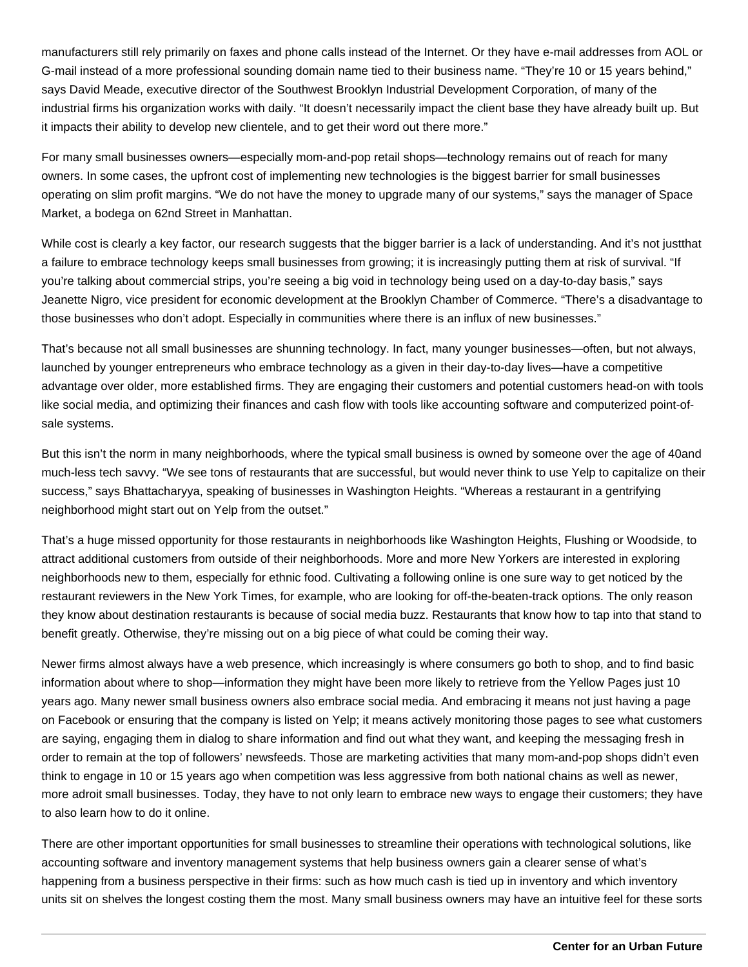manufacturers still rely primarily on faxes and phone calls instead of the Internet. Or they have e-mail addresses from AOL or G-mail instead of a more professional sounding domain name tied to their business name. "They're 10 or 15 years behind," says David Meade, executive director of the Southwest Brooklyn Industrial Development Corporation, of many of the industrial firms his organization works with daily. "It doesn't necessarily impact the client base they have already built up. But it impacts their ability to develop new clientele, and to get their word out there more."

For many small businesses owners—especially mom-and-pop retail shops—technology remains out of reach for many owners. In some cases, the upfront cost of implementing new technologies is the biggest barrier for small businesses operating on slim profit margins. "We do not have the money to upgrade many of our systems," says the manager of Space Market, a bodega on 62nd Street in Manhattan.

While cost is clearly a key factor, our research suggests that the bigger barrier is a lack of understanding. And it's not just that a failure to embrace technology keeps small businesses from growing; it is increasingly putting them at risk of survival. "If you're talking about commercial strips, you're seeing a big void in technology being used on a day-to-day basis," says Jeanette Nigro, vice president for economic development at the Brooklyn Chamber of Commerce. "There's a disadvantage to those businesses who don't adopt. Especially in communities where there is an influx of new businesses."

That's because not all small businesses are shunning technology. In fact, many younger businesses—often, but not always, launched by younger entrepreneurs who embrace technology as a given in their day-to-day lives—have a competitive advantage over older, more established firms. They are engaging their customers and potential customers head-on with tools like social media, and optimizing their finances and cash flow with tools like accounting software and computerized point-ofsale systems.

But this isn't the norm in many neighborhoods, where the typical small business is owned by someone over the age of 40 and much-less tech savvy. "We see tons of restaurants that are successful, but would never think to use Yelp to capitalize on their success," says Bhattacharyya, speaking of businesses in Washington Heights. "Whereas a restaurant in a gentrifying neighborhood might start out on Yelp from the outset."

That's a huge missed opportunity for those restaurants in neighborhoods like Washington Heights, Flushing or Woodside, to attract additional customers from outside of their neighborhoods. More and more New Yorkers are interested in exploring neighborhoods new to them, especially for ethnic food. Cultivating a following online is one sure way to get noticed by the restaurant reviewers in the New York Times, for example, who are looking for off-the-beaten-track options. The only reason they know about destination restaurants is because of social media buzz. Restaurants that know how to tap into that stand to benefit greatly. Otherwise, they're missing out on a big piece of what could be coming their way.

Newer firms almost always have a web presence, which increasingly is where consumers go both to shop, and to find basic information about where to shop—information they might have been more likely to retrieve from the Yellow Pages just 10 years ago. Many newer small business owners also embrace social media. And embracing it means not just having a page on Facebook or ensuring that the company is listed on Yelp; it means actively monitoring those pages to see what customers are saying, engaging them in dialog to share information and find out what they want, and keeping the messaging fresh in order to remain at the top of followers' newsfeeds. Those are marketing activities that many mom-and-pop shops didn't even think to engage in 10 or 15 years ago when competition was less aggressive from both national chains as well as newer, more adroit small businesses. Today, they have to not only learn to embrace new ways to engage their customers; they have to also learn how to do it online.

There are other important opportunities for small businesses to streamline their operations with technological solutions, like accounting software and inventory management systems that help business owners gain a clearer sense of what's happening from a business perspective in their firms: such as how much cash is tied up in inventory and which inventory units sit on shelves the longest costing them the most. Many small business owners may have an intuitive feel for these sorts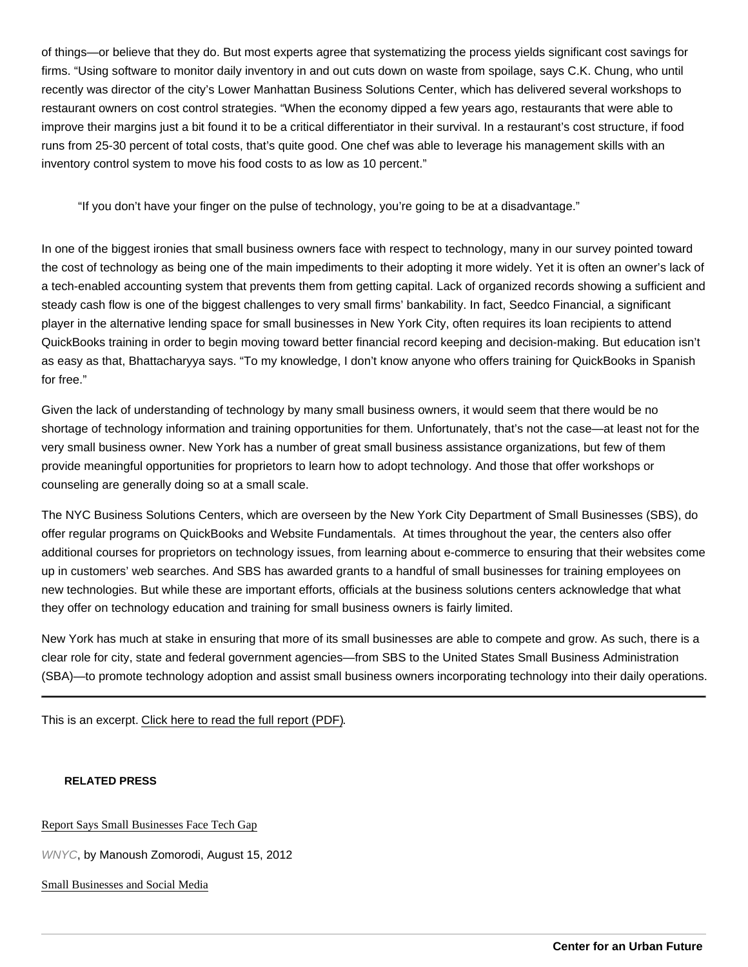of things—or believe that they do. But most experts agree that systematizing the process yields significant cost savings for firms. "Using software to monitor daily inventory in and out cuts down on waste from spoilage, says C.K. Chung, who until recently was director of the city's Lower Manhattan Business Solutions Center, which has delivered several workshops to restaurant owners on cost control strategies. "When the economy dipped a few years ago, restaurants that were able to improve their margins just a bit found it to be a critical differentiator in their survival. In a restaurant's cost structure, if food runs from 25-30 percent of total costs, that's quite good. One chef was able to leverage his management skills with an inventory control system to move his food costs to as low as 10 percent."

"If you don't have your finger on the pulse of technology, you're going to be at a disadvantage."

In one of the biggest ironies that small business owners face with respect to technology, many in our survey pointed toward the cost of technology as being one of the main impediments to their adopting it more widely. Yet it is often an owner's lack of a tech-enabled accounting system that prevents them from getting capital. Lack of organized records showing a sufficient and steady cash flow is one of the biggest challenges to very small firms' bankability. In fact, Seedco Financial, a significant player in the alternative lending space for small businesses in New York City, often requires its loan recipients to attend QuickBooks training in order to begin moving toward better financial record keeping and decision-making. But education isn't as easy as that, Bhattacharyya says. "To my knowledge, I don't know anyone who offers training for QuickBooks in Spanish for free."

Given the lack of understanding of technology by many small business owners, it would seem that there would be no shortage of technology information and training opportunities for them. Unfortunately, that's not the case—at least not for the very small business owner. New York has a number of great small business assistance organizations, but few of them provide meaningful opportunities for proprietors to learn how to adopt technology. And those that offer workshops or counseling are generally doing so at a small scale.

The NYC Business Solutions Centers, which are overseen by the New York City Department of Small Businesses (SBS), do offer regular programs on QuickBooks and Website Fundamentals. At times throughout the year, the centers also offer additional courses for proprietors on technology issues, from learning about e-commerce to ensuring that their websites come up in customers' web searches. And SBS has awarded grants to a handful of small businesses for training employees on new technologies. But while these are important efforts, officials at the business solutions centers acknowledge that what they offer on technology education and training for small business owners is fairly limited.

New York has much at stake in ensuring that more of its small businesses are able to compete and grow. As such, there is a clear role for city, state and federal government agencies—from SBS to the United States Small Business Administration (SBA)—to promote technology adoption and assist small business owners incorporating technology into their daily operations.

This is an excerpt. [Click here to read the full report \(PDF\).](/pdf/Smarter_Small_Businesses.pdf)

RELATED PRESS

[Report Says Small Businesses Face Tech](http://www.wnyc.org/articles/wnyc-news/2012/aug/15/reports-says-small-businesses-face-tech-gap/) Gap

WNYC, by Manoush Zomorodi, August 15, 2012

[Small Businesses and Social Me](http://www.anpisolutions.com/david-byrds-eye-view/small-businesses-and-social-media/)dia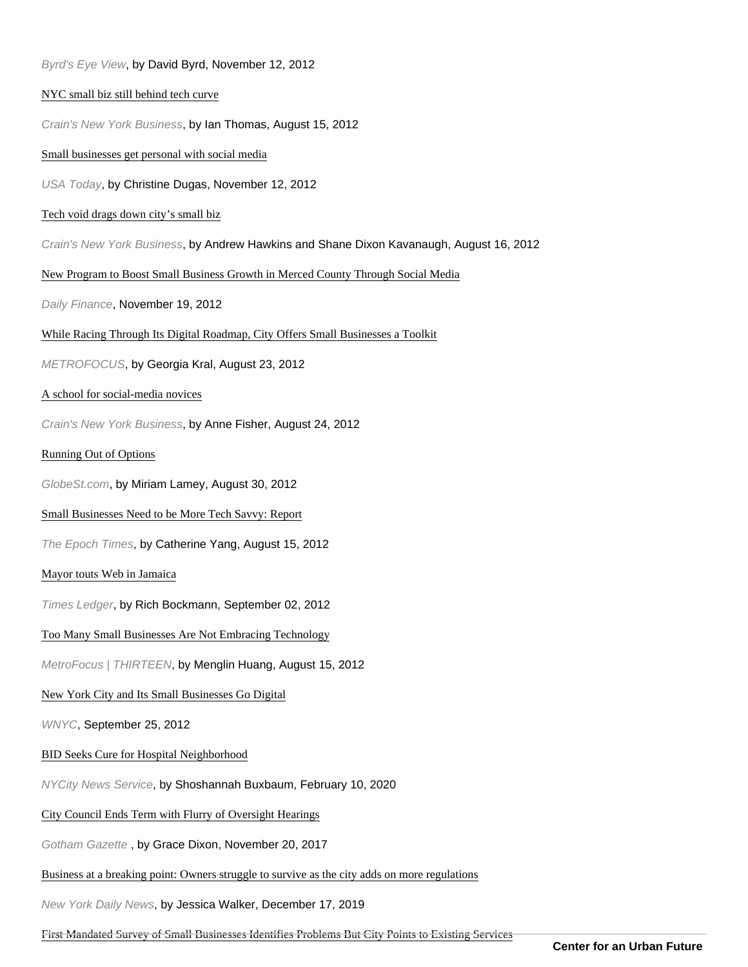| Byrd's Eye View, by David Byrd, November 12, 2012                                             |
|-----------------------------------------------------------------------------------------------|
| NYC small biz still behind tech curve                                                         |
| Crain's New York Business, by Ian Thomas, August 15, 2012                                     |
| Small businesses get personal with social media                                               |
| USA Today, by Christine Dugas, November 12, 2012                                              |
| Tech void drags down city's small biz                                                         |
| Crain's New York Business, by Andrew Hawkins and Shane Dixon Kavanaugh, August 16, 2012       |
| New Program to Boost Small Business Growth in Merced County Through Social Media              |
| Daily Finance, November 19, 2012                                                              |
| While Racing Through Its Digital Roadmap, City Offers Small Businesses a Toolkit              |
| METROFOCUS, by Georgia Kral, August 23, 2012                                                  |
| A school for social-media novices                                                             |
| Crain's New York Business, by Anne Fisher, August 24, 2012                                    |
| Running Out of Options                                                                        |
| GlobeSt.com, by Miriam Lamey, August 30, 2012                                                 |
| Small Businesses Need to be More Tech Savvy: Report                                           |
| The Epoch Times, by Catherine Yang, August 15, 2012                                           |
| Mayor touts Web in Jamaica                                                                    |
| Times Ledger, by Rich Bockmann, September 02, 2012                                            |
| Too Many Small Businesses Are Not Embracing Technology                                        |
| MetroFocus   THIRTEEN, by Menglin Huang, August 15, 2012                                      |
| New York City and Its Small Businesses Go Digital                                             |
| WNYC, September 25, 2012                                                                      |
| BID Seeks Cure for Hospital Neighborhood                                                      |
| NYCity News Service, by Shoshannah Buxbaum, February 10, 2020                                 |
| City Council Ends Term with Flurry of Oversight Hearings                                      |
| Gotham Gazette, by Grace Dixon, November 20, 2017                                             |
| Business at a breaking point: Owners struggle to survive as the city adds on more regulations |
| New York Daily News, by Jessica Walker, December 17, 2019                                     |

[First Mandated Survey of Small Businesses Identifies Problems But City Points to Existing S](https://www.gothamgazette.com/city/8836-first-mandated-city-survey-of-small-businesses-identifies-problems)ervices